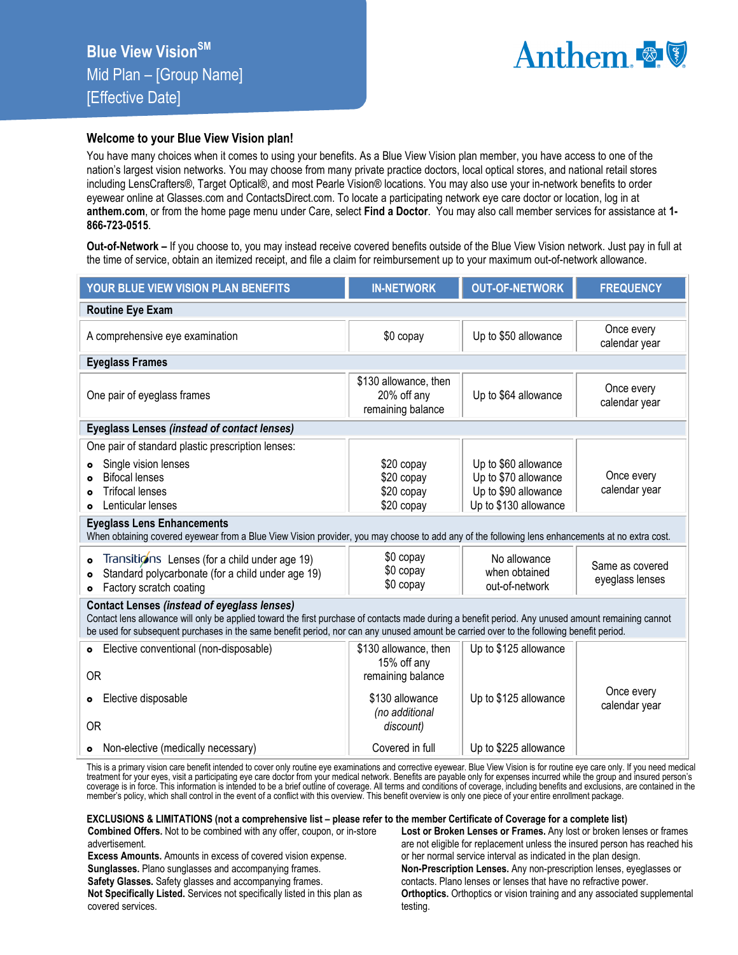

## **Welcome to your Blue View Vision plan!**

You have many choices when it comes to using your benefits. As a Blue View Vision plan member, you have access to one of the nation's largest vision networks. You may choose from many private practice doctors, local optical stores, and national retail stores including LensCrafters®, Target Optical®, and most Pearle Vision® locations. You may also use your in-network benefits to order eyewear online at Glasses.com and ContactsDirect.com. To locate a participating network eye care doctor or location, log in at **anthem.com**, or from the home page menu under Care, select **Find a Doctor**. You may also call member services for assistance at **1- 866-723-0515**.

**Out-of-Network –** If you choose to, you may instead receive covered benefits outside of the Blue View Vision network. Just pay in full at the time of service, obtain an itemized receipt, and file a claim for reimbursement up to your maximum out-of-network allowance.

| YOUR BLUE VIEW VISION PLAN BENEFITS                                                                                                                                                                                                                                                                                                                                                                                                                                                                               | <b>IN-NETWORK</b>                                                                                           | <b>OUT-OF-NETWORK</b>                                                                                                                            | <b>FREQUENCY</b>                                                  |  |
|-------------------------------------------------------------------------------------------------------------------------------------------------------------------------------------------------------------------------------------------------------------------------------------------------------------------------------------------------------------------------------------------------------------------------------------------------------------------------------------------------------------------|-------------------------------------------------------------------------------------------------------------|--------------------------------------------------------------------------------------------------------------------------------------------------|-------------------------------------------------------------------|--|
| <b>Routine Eye Exam</b>                                                                                                                                                                                                                                                                                                                                                                                                                                                                                           |                                                                                                             |                                                                                                                                                  |                                                                   |  |
| A comprehensive eye examination                                                                                                                                                                                                                                                                                                                                                                                                                                                                                   | \$0 copay                                                                                                   | Up to \$50 allowance                                                                                                                             | Once every<br>calendar year                                       |  |
| <b>Eyeglass Frames</b>                                                                                                                                                                                                                                                                                                                                                                                                                                                                                            |                                                                                                             |                                                                                                                                                  |                                                                   |  |
| One pair of eyeglass frames                                                                                                                                                                                                                                                                                                                                                                                                                                                                                       | \$130 allowance, then<br>20% off any<br>remaining balance                                                   | Up to \$64 allowance                                                                                                                             | Once every<br>calendar year                                       |  |
| <b>Eyeglass Lenses (instead of contact lenses)</b>                                                                                                                                                                                                                                                                                                                                                                                                                                                                |                                                                                                             |                                                                                                                                                  |                                                                   |  |
| One pair of standard plastic prescription lenses:<br>Single vision lenses<br><b>Bifocal lenses</b><br><b>Trifocal lenses</b><br>Lenticular lenses<br><b>Eyeglass Lens Enhancements</b><br>When obtaining covered eyewear from a Blue View Vision provider, you may choose to add any of the following lens enhancements at no extra cost.<br>Transitions Lenses (for a child under age 19)<br>$\bullet$<br>Standard polycarbonate (for a child under age 19)<br>$\bullet$<br>Factory scratch coating<br>$\bullet$ | \$20 copay<br>\$20 copay<br>\$20 copay<br>\$20 copay<br>\$0 copay<br>\$0 copay<br>\$0 copay                 | Up to \$60 allowance<br>Up to \$70 allowance<br>Up to \$90 allowance<br>Up to \$130 allowance<br>No allowance<br>when obtained<br>out-of-network | Once every<br>calendar year<br>Same as covered<br>eyeglass lenses |  |
| <b>Contact Lenses (instead of eyeglass lenses)</b><br>Contact lens allowance will only be applied toward the first purchase of contacts made during a benefit period. Any unused amount remaining cannot<br>be used for subsequent purchases in the same benefit period, nor can any unused amount be carried over to the following benefit period.                                                                                                                                                               |                                                                                                             |                                                                                                                                                  |                                                                   |  |
| Elective conventional (non-disposable)<br>$\bullet$<br><b>OR</b><br>Elective disposable<br>$\bullet$<br><b>OR</b>                                                                                                                                                                                                                                                                                                                                                                                                 | \$130 allowance, then<br>15% off any<br>remaining balance<br>\$130 allowance<br>(no additional<br>discount) | Up to \$125 allowance<br>Up to \$125 allowance                                                                                                   | Once every<br>calendar year                                       |  |
| • Non-elective (medically necessary)                                                                                                                                                                                                                                                                                                                                                                                                                                                                              | Covered in full                                                                                             | Up to \$225 allowance                                                                                                                            |                                                                   |  |

This is a primary vision care benefit intended to cover only routine eye examinations and corrective eyewear. Blue View Vision is for routine eye care only. If you need medical treatment for your eyes, visit a participating eye care doctor from your medical network. Benefits are payable only for expenses incurred while the group and insured person's<br>coverage is in force. This information is inten member's policy, which shall control in the event of a conflict with this overview. This benefit overview is only one piece of your entire enrollment package.

## **EXCLUSIONS & LIMITATIONS (not a comprehensive list – please refer to the member Certificate of Coverage for a complete list)**

**Combined Offers.** Not to be combined with any offer, coupon, or in-store advertisement.

**Excess Amounts.** Amounts in excess of covered vision expense.

**Sunglasses.** Plano sunglasses and accompanying frames.

**Safety Glasses.** Safety glasses and accompanying frames.

**Not Specifically Listed.** Services not specifically listed in this plan as covered services.

**Lost or Broken Lenses or Frames.** Any lost or broken lenses or frames are not eligible for replacement unless the insured person has reached his or her normal service interval as indicated in the plan design. **Non-Prescription Lenses.** Any non-prescription lenses, eyeglasses or contacts. Plano lenses or lenses that have no refractive power. **Orthoptics.** Orthoptics or vision training and any associated supplemental testing.